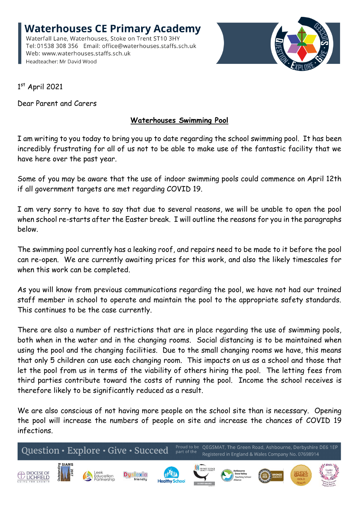**Waterhouses CE Primary Academy** Waterfall Lane, Waterhouses, Stoke on Trent ST10 3HY Tel: 01538 308 356 Email: office@waterhouses.staffs.sch.uk Web: www.waterhouses.staffs.sch.uk Headteacher: Mr David Wood



1 st April 2021

Dear Parent and Carers

## **Waterhouses Swimming Pool**

I am writing to you today to bring you up to date regarding the school swimming pool. It has been incredibly frustrating for all of us not to be able to make use of the fantastic facility that we have here over the past year.

Some of you may be aware that the use of indoor swimming pools could commence on April 12th if all government targets are met regarding COVID 19.

I am very sorry to have to say that due to several reasons, we will be unable to open the pool when school re-starts after the Easter break. I will outline the reasons for you in the paragraphs below.

The swimming pool currently has a leaking roof, and repairs need to be made to it before the pool can re-open. We are currently awaiting prices for this work, and also the likely timescales for when this work can be completed.

As you will know from previous communications regarding the pool, we have not had our trained staff member in school to operate and maintain the pool to the appropriate safety standards. This continues to be the case currently.

There are also a number of restrictions that are in place regarding the use of swimming pools, both when in the water and in the changing rooms. Social distancing is to be maintained when using the pool and the changing facilities. Due to the small changing rooms we have, this means that only 5 children can use each changing room. This impacts on us as a school and those that let the pool from us in terms of the viability of others hiring the pool. The letting fees from third parties contribute toward the costs of running the pool. Income the school receives is therefore likely to be significantly reduced as a result.

We are also conscious of not having more people on the school site than is necessary. Opening the pool will increase the numbers of people on site and increase the chances of COVID 19 infections.